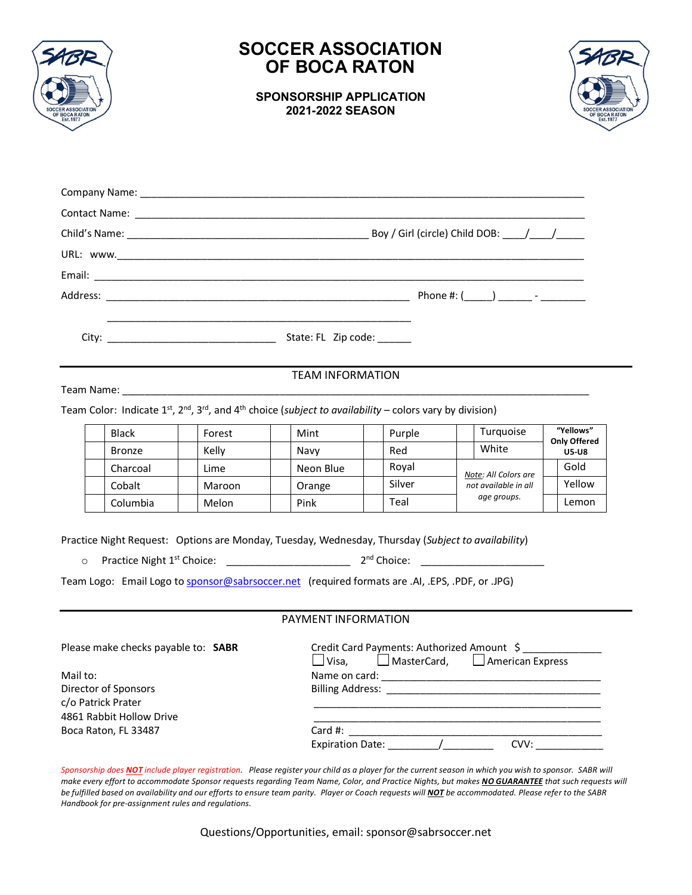

## **SOCCER ASSOCIATION OF BOCA RATON**

**SPONSORSHIP APPLICATION 2021-2022 SEASON**



| <u> 1980 - Jan James James James James James James James James James James James James James James James James J</u>          |  |
|-------------------------------------------------------------------------------------------------------------------------------|--|
| <b>TEAM INFORMATION</b>                                                                                                       |  |
| Team Color: Indicate $1^{st}$ , $2^{nd}$ , $3^{rd}$ , and $4^{th}$ choice (subject to availability – colors vary by division) |  |

Black | Forest | Mint | Purple | Turquoise | "Yellows" **Only Offered** Bronze | Kelly | Navy | Red | White | U5-U8 Charcoal | Lime | Neon Blue | Royal *Note: All Colors are*  Cobalt | | Maroon | | Orange | | Silver | not available in all | | Yellow *age groups.* Gold Columbia | |Melon | | Pink | | | Teal | | | | | | | | Lemon

Practice Night Request: Options are Monday, Tuesday, Wednesday, Thursday (*Subject to availability*)

0 Practice Night 1<sup>st</sup> Choice: \_\_\_\_\_\_\_\_\_\_\_\_\_\_\_\_\_\_\_\_\_\_\_\_\_\_\_\_ 2  $2^{nd}$  Choice:  $\qquad \qquad \qquad$ 

Team Logo: Email Logo to [sponsor@sabrsoccer.net](mailto:sponsor@sabrsoccer.net) (required formats are .AI, .EPS, .PDF, or .JPG)

#### PAYMENT INFORMATION

| Please make checks payable to: SABR | Credit Card Payments: Authorized Amount \$<br>$\Box$ American Express<br>$\Box$ MasterCard,<br>$\Box$ Visa.     |
|-------------------------------------|-----------------------------------------------------------------------------------------------------------------|
| Mail to:                            |                                                                                                                 |
| Director of Sponsors                | Billing Address: The Contract of the Contract of the Contract of the Contract of the Contract of the Contract o |
| c/o Patrick Prater                  |                                                                                                                 |
| 4861 Rabbit Hollow Drive            |                                                                                                                 |
| Boca Raton, FL 33487                | Card $#$ :                                                                                                      |
|                                     | <b>Expiration Date:</b><br>CVV:                                                                                 |

*Sponsorship does NOT include player registration. Please register your child as a player for the current season in which you wish to sponsor. SABR will*  make every effort to accommodate Sponsor requests regarding Team Name, Color, and Practice Nights, but makes **NO GUARANTEE** that such requests will *be fulfilled based on availability and our efforts to ensure team parity. Player or Coach requests will NOT be accommodated. Please refer to the SABR Handbook for pre-assignment rules and regulations.*

Questions/Opportunities, email: sponsor@sabrsoccer.net